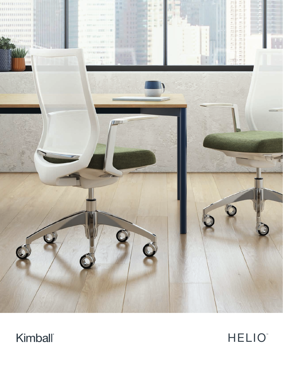



HELIO™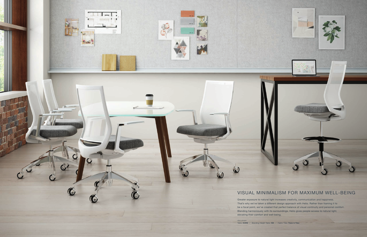

-1

**SE LINE** 

 $\bigodot$ 

## VISUAL MINIMALISM FOR MAXIMUM WELL-BEING

Greater exposure to natural light increases creativity, communication and happiness. That's why we've taken a different design approach with Helio. Rather than framing it to be a focal point, we've created that perfect balance of visual continuity and personal comfort. Blending harmoniously with its surroundings, Helio gives people access to natural light, elevating their comfort and well-being.

*Also shown* Table: KORE / Standing-Height Table: fiXt / Fabric Tiles: Traxx & Tiles